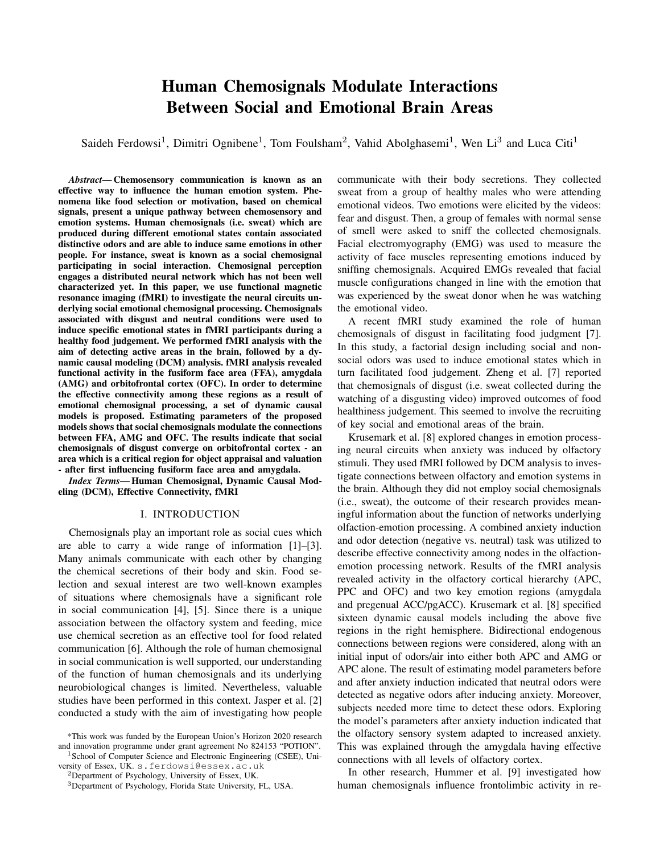# Human Chemosignals Modulate Interactions Between Social and Emotional Brain Areas

Saideh Ferdowsi<sup>1</sup>, Dimitri Ognibene<sup>1</sup>, Tom Foulsham<sup>2</sup>, Vahid Abolghasemi<sup>1</sup>, Wen Li<sup>3</sup> and Luca Citi<sup>1</sup>

*Abstract*— Chemosensory communication is known as an effective way to influence the human emotion system. Phenomena like food selection or motivation, based on chemical signals, present a unique pathway between chemosensory and emotion systems. Human chemosignals (i.e. sweat) which are produced during different emotional states contain associated distinctive odors and are able to induce same emotions in other people. For instance, sweat is known as a social chemosignal participating in social interaction. Chemosignal perception engages a distributed neural network which has not been well characterized yet. In this paper, we use functional magnetic resonance imaging (fMRI) to investigate the neural circuits underlying social emotional chemosignal processing. Chemosignals associated with disgust and neutral conditions were used to induce specific emotional states in fMRI participants during a healthy food judgement. We performed fMRI analysis with the aim of detecting active areas in the brain, followed by a dynamic causal modeling (DCM) analysis. fMRI analysis revealed functional activity in the fusiform face area (FFA), amygdala (AMG) and orbitofrontal cortex (OFC). In order to determine the effective connectivity among these regions as a result of emotional chemosignal processing, a set of dynamic causal models is proposed. Estimating parameters of the proposed models shows that social chemosignals modulate the connections between FFA, AMG and OFC. The results indicate that social chemosignals of disgust converge on orbitofrontal cortex - an area which is a critical region for object appraisal and valuation - after first influencing fusiform face area and amygdala.

*Index Terms*— Human Chemosignal, Dynamic Causal Modeling (DCM), Effective Connectivity, fMRI

## I. INTRODUCTION

Chemosignals play an important role as social cues which are able to carry a wide range of information [1]–[3]. Many animals communicate with each other by changing the chemical secretions of their body and skin. Food selection and sexual interest are two well-known examples of situations where chemosignals have a significant role in social communication [4], [5]. Since there is a unique association between the olfactory system and feeding, mice use chemical secretion as an effective tool for food related communication [6]. Although the role of human chemosignal in social communication is well supported, our understanding of the function of human chemosignals and its underlying neurobiological changes is limited. Nevertheless, valuable studies have been performed in this context. Jasper et al. [2] conducted a study with the aim of investigating how people

<sup>1</sup> School of Computer Science and Electronic Engineering (CSEE), University of Essex, UK. s.ferdowsi@essex.ac.uk

<sup>2</sup>Department of Psychology, University of Essex, UK.

communicate with their body secretions. They collected sweat from a group of healthy males who were attending emotional videos. Two emotions were elicited by the videos: fear and disgust. Then, a group of females with normal sense of smell were asked to sniff the collected chemosignals. Facial electromyography (EMG) was used to measure the activity of face muscles representing emotions induced by sniffing chemosignals. Acquired EMGs revealed that facial muscle configurations changed in line with the emotion that was experienced by the sweat donor when he was watching the emotional video.

A recent fMRI study examined the role of human chemosignals of disgust in facilitating food judgment [7]. In this study, a factorial design including social and nonsocial odors was used to induce emotional states which in turn facilitated food judgement. Zheng et al. [7] reported that chemosignals of disgust (i.e. sweat collected during the watching of a disgusting video) improved outcomes of food healthiness judgement. This seemed to involve the recruiting of key social and emotional areas of the brain.

Krusemark et al. [8] explored changes in emotion processing neural circuits when anxiety was induced by olfactory stimuli. They used fMRI followed by DCM analysis to investigate connections between olfactory and emotion systems in the brain. Although they did not employ social chemosignals (i.e., sweat), the outcome of their research provides meaningful information about the function of networks underlying olfaction-emotion processing. A combined anxiety induction and odor detection (negative vs. neutral) task was utilized to describe effective connectivity among nodes in the olfactionemotion processing network. Results of the fMRI analysis revealed activity in the olfactory cortical hierarchy (APC, PPC and OFC) and two key emotion regions (amygdala and pregenual ACC/pgACC). Krusemark et al. [8] specified sixteen dynamic causal models including the above five regions in the right hemisphere. Bidirectional endogenous connections between regions were considered, along with an initial input of odors/air into either both APC and AMG or APC alone. The result of estimating model parameters before and after anxiety induction indicated that neutral odors were detected as negative odors after inducing anxiety. Moreover, subjects needed more time to detect these odors. Exploring the model's parameters after anxiety induction indicated that the olfactory sensory system adapted to increased anxiety. This was explained through the amygdala having effective connections with all levels of olfactory cortex.

In other research, Hummer et al. [9] investigated how human chemosignals influence frontolimbic activity in re-

<sup>\*</sup>This work was funded by the European Union's Horizon 2020 research and innovation programme under grant agreement No 824153 "POTION".

<sup>3</sup>Department of Psychology, Florida State University, FL, USA.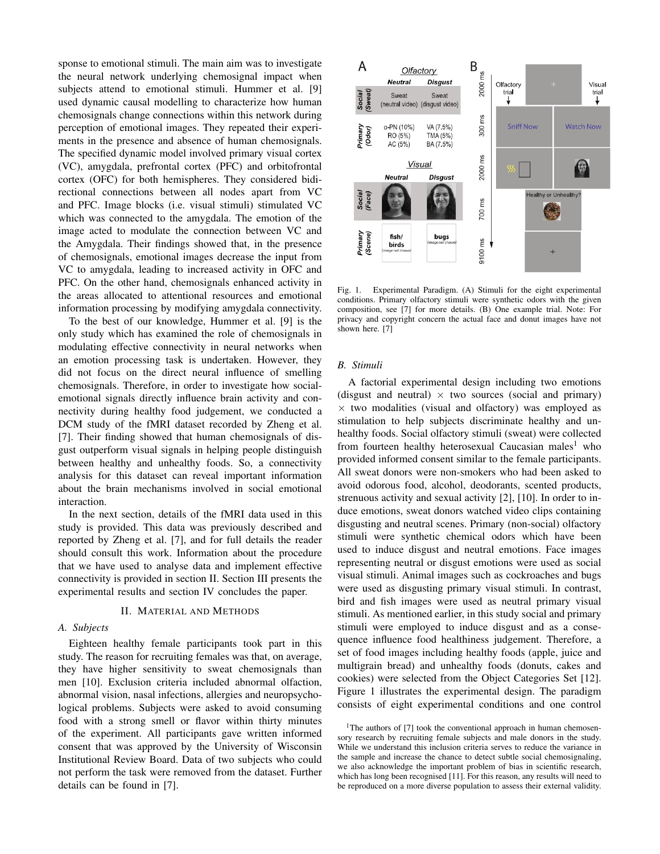sponse to emotional stimuli. The main aim was to investigate the neural network underlying chemosignal impact when subjects attend to emotional stimuli. Hummer et al. [9] used dynamic causal modelling to characterize how human chemosignals change connections within this network during perception of emotional images. They repeated their experiments in the presence and absence of human chemosignals. The specified dynamic model involved primary visual cortex (VC), amygdala, prefrontal cortex (PFC) and orbitofrontal cortex (OFC) for both hemispheres. They considered bidirectional connections between all nodes apart from VC and PFC. Image blocks (i.e. visual stimuli) stimulated VC which was connected to the amygdala. The emotion of the image acted to modulate the connection between VC and the Amygdala. Their findings showed that, in the presence of chemosignals, emotional images decrease the input from VC to amygdala, leading to increased activity in OFC and PFC. On the other hand, chemosignals enhanced activity in the areas allocated to attentional resources and emotional information processing by modifying amygdala connectivity.

To the best of our knowledge, Hummer et al. [9] is the only study which has examined the role of chemosignals in modulating effective connectivity in neural networks when an emotion processing task is undertaken. However, they did not focus on the direct neural influence of smelling chemosignals. Therefore, in order to investigate how socialemotional signals directly influence brain activity and connectivity during healthy food judgement, we conducted a DCM study of the fMRI dataset recorded by Zheng et al. [7]. Their finding showed that human chemosignals of disgust outperform visual signals in helping people distinguish between healthy and unhealthy foods. So, a connectivity analysis for this dataset can reveal important information about the brain mechanisms involved in social emotional interaction.

In the next section, details of the fMRI data used in this study is provided. This data was previously described and reported by Zheng et al. [7], and for full details the reader should consult this work. Information about the procedure that we have used to analyse data and implement effective connectivity is provided in section II. Section III presents the experimental results and section IV concludes the paper.

### II. MATERIAL AND METHODS

## *A. Subjects*

Eighteen healthy female participants took part in this study. The reason for recruiting females was that, on average, they have higher sensitivity to sweat chemosignals than men [10]. Exclusion criteria included abnormal olfaction, abnormal vision, nasal infections, allergies and neuropsychological problems. Subjects were asked to avoid consuming food with a strong smell or flavor within thirty minutes of the experiment. All participants gave written informed consent that was approved by the University of Wisconsin Institutional Review Board. Data of two subjects who could not perform the task were removed from the dataset. Further details can be found in [7].



Fig. 1. Experimental Paradigm. (A) Stimuli for the eight experimental conditions. Primary olfactory stimuli were synthetic odors with the given composition, see [7] for more details. (B) One example trial. Note: For privacy and copyright concern the actual face and donut images have not shown here. [7]

#### *B. Stimuli*

A factorial experimental design including two emotions (disgust and neutral)  $\times$  two sources (social and primary)  $\times$  two modalities (visual and olfactory) was employed as stimulation to help subjects discriminate healthy and unhealthy foods. Social olfactory stimuli (sweat) were collected from fourteen healthy heterosexual Caucasian males<sup>1</sup> who provided informed consent similar to the female participants. All sweat donors were non-smokers who had been asked to avoid odorous food, alcohol, deodorants, scented products, strenuous activity and sexual activity [2], [10]. In order to induce emotions, sweat donors watched video clips containing disgusting and neutral scenes. Primary (non-social) olfactory stimuli were synthetic chemical odors which have been used to induce disgust and neutral emotions. Face images representing neutral or disgust emotions were used as social visual stimuli. Animal images such as cockroaches and bugs were used as disgusting primary visual stimuli. In contrast, bird and fish images were used as neutral primary visual stimuli. As mentioned earlier, in this study social and primary stimuli were employed to induce disgust and as a consequence influence food healthiness judgement. Therefore, a set of food images including healthy foods (apple, juice and multigrain bread) and unhealthy foods (donuts, cakes and cookies) were selected from the Object Categories Set [12]. Figure 1 illustrates the experimental design. The paradigm consists of eight experimental conditions and one control

<sup>&</sup>lt;sup>1</sup>The authors of [7] took the conventional approach in human chemosensory research by recruiting female subjects and male donors in the study. While we understand this inclusion criteria serves to reduce the variance in the sample and increase the chance to detect subtle social chemosignaling, we also acknowledge the important problem of bias in scientific research, which has long been recognised [11]. For this reason, any results will need to be reproduced on a more diverse population to assess their external validity.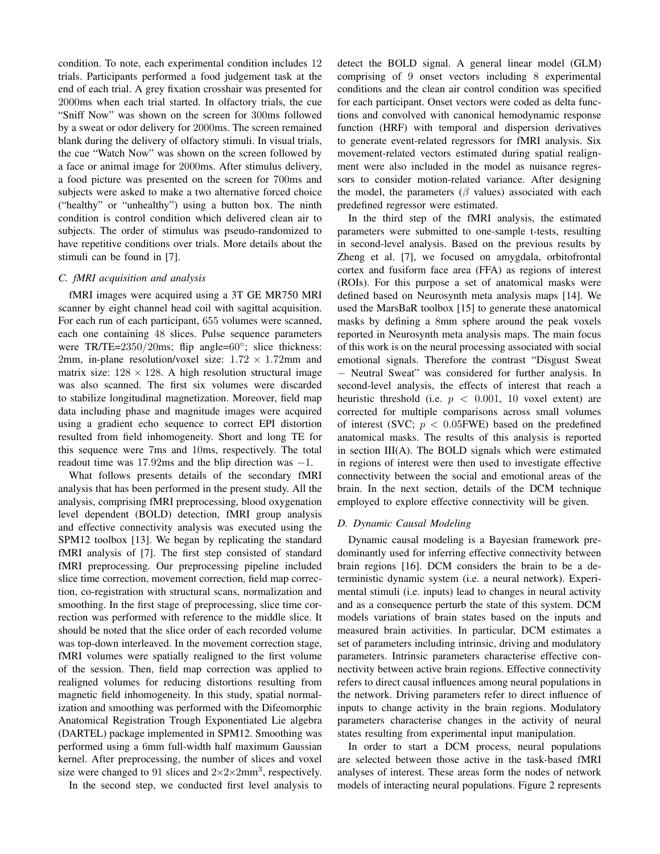condition. To note, each experimental condition includes 12 trials. Participants performed a food judgement task at the end of each trial. A grey fixation crosshair was presented for 2000ms when each trial started. In olfactory trials, the cue "Sniff Now" was shown on the screen for 300ms followed by a sweat or odor delivery for 2000ms. The screen remained blank during the delivery of olfactory stimuli. In visual trials, the cue "Watch Now" was shown on the screen followed by a face or animal image for 2000ms. After stimulus delivery, a food picture was presented on the screen for 700ms and subjects were asked to make a two alternative forced choice ("healthy" or "unhealthy") using a button box. The ninth condition is control condition which delivered clean air to subjects. The order of stimulus was pseudo-randomized to have repetitive conditions over trials. More details about the stimuli can be found in [7].

## *C. fMRI acquisition and analysis*

fMRI images were acquired using a 3T GE MR750 MRI scanner by eight channel head coil with sagittal acquisition. For each run of each participant, 655 volumes were scanned, each one containing 48 slices. Pulse sequence parameters were TR/TE=2350/20ms; flip angle=60°; slice thickness: 2mm, in-plane resolution/voxel size:  $1.72 \times 1.72$ mm and matrix size:  $128 \times 128$ . A high resolution structural image was also scanned. The first six volumes were discarded to stabilize longitudinal magnetization. Moreover, field map data including phase and magnitude images were acquired using a gradient echo sequence to correct EPI distortion resulted from field inhomogeneity. Short and long TE for this sequence were 7ms and 10ms, respectively. The total readout time was 17.92ms and the blip direction was −1.

What follows presents details of the secondary fMRI analysis that has been performed in the present study. All the analysis, comprising fMRI preprocessing, blood oxygenation level dependent (BOLD) detection, fMRI group analysis and effective connectivity analysis was executed using the SPM12 toolbox [13]. We began by replicating the standard fMRI analysis of [7]. The first step consisted of standard fMRI preprocessing. Our preprocessing pipeline included slice time correction, movement correction, field map correction, co-registration with structural scans, normalization and smoothing. In the first stage of preprocessing, slice time correction was performed with reference to the middle slice. It should be noted that the slice order of each recorded volume was top-down interleaved. In the movement correction stage, fMRI volumes were spatially realigned to the first volume of the session. Then, field map correction was applied to realigned volumes for reducing distortions resulting from magnetic field inhomogeneity. In this study, spatial normalization and smoothing was performed with the Difeomorphic Anatomical Registration Trough Exponentiated Lie algebra (DARTEL) package implemented in SPM12. Smoothing was performed using a 6mm full-width half maximum Gaussian kernel. After preprocessing, the number of slices and voxel size were changed to 91 slices and  $2 \times 2 \times 2$ mm<sup>3</sup>, respectively.

In the second step, we conducted first level analysis to

detect the BOLD signal. A general linear model (GLM) comprising of 9 onset vectors including 8 experimental conditions and the clean air control condition was specified for each participant. Onset vectors were coded as delta functions and convolved with canonical hemodynamic response function (HRF) with temporal and dispersion derivatives to generate event-related regressors for fMRI analysis. Six movement-related vectors estimated during spatial realignment were also included in the model as nuisance regressors to consider motion-related variance. After designing the model, the parameters ( $\beta$  values) associated with each predefined regressor were estimated.

In the third step of the fMRI analysis, the estimated parameters were submitted to one-sample t-tests, resulting in second-level analysis. Based on the previous results by Zheng et al. [7], we focused on amygdala, orbitofrontal cortex and fusiform face area (FFA) as regions of interest (ROIs). For this purpose a set of anatomical masks were defined based on Neurosynth meta analysis maps [14]. We used the MarsBaR toolbox [15] to generate these anatomical masks by defining a 8mm sphere around the peak voxels reported in Neurosynth meta analysis maps. The main focus of this work is on the neural processing associated with social emotional signals. Therefore the contrast "Disgust Sweat − Neutral Sweat" was considered for further analysis. In second-level analysis, the effects of interest that reach a heuristic threshold (i.e.  $p < 0.001$ , 10 voxel extent) are corrected for multiple comparisons across small volumes of interest (SVC;  $p < 0.05$ FWE) based on the predefined anatomical masks. The results of this analysis is reported in section III(A). The BOLD signals which were estimated in regions of interest were then used to investigate effective connectivity between the social and emotional areas of the brain. In the next section, details of the DCM technique employed to explore effective connectivity will be given.

## *D. Dynamic Causal Modeling*

Dynamic causal modeling is a Bayesian framework predominantly used for inferring effective connectivity between brain regions [16]. DCM considers the brain to be a deterministic dynamic system (i.e. a neural network). Experimental stimuli (i.e. inputs) lead to changes in neural activity and as a consequence perturb the state of this system. DCM models variations of brain states based on the inputs and measured brain activities. In particular, DCM estimates a set of parameters including intrinsic, driving and modulatory parameters. Intrinsic parameters characterise effective connectivity between active brain regions. Effective connectivity refers to direct causal influences among neural populations in the network. Driving parameters refer to direct influence of inputs to change activity in the brain regions. Modulatory parameters characterise changes in the activity of neural states resulting from experimental input manipulation.

In order to start a DCM process, neural populations are selected between those active in the task-based fMRI analyses of interest. These areas form the nodes of network models of interacting neural populations. Figure 2 represents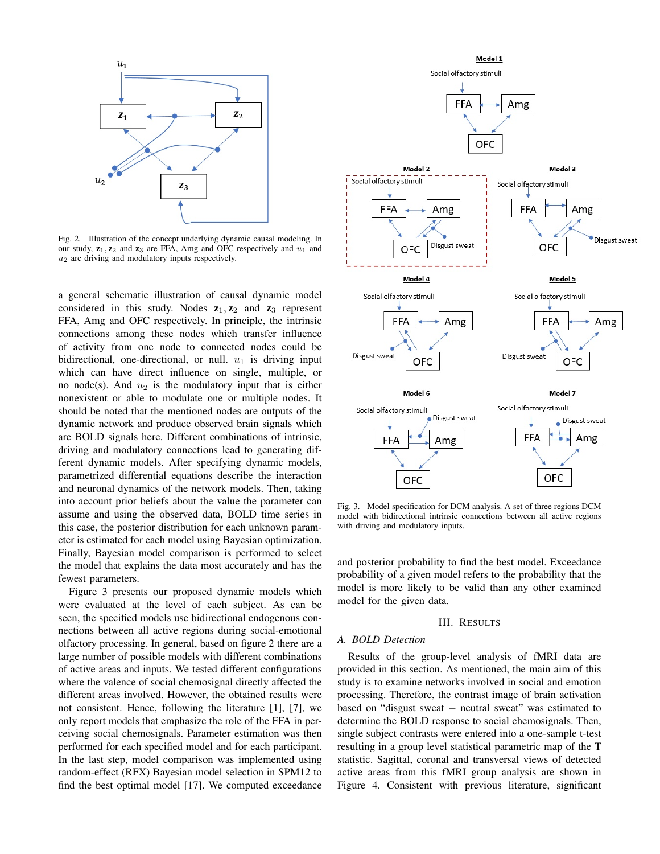

Fig. 2. Illustration of the concept underlying dynamic causal modeling. In our study,  $z_1$ ,  $z_2$  and  $z_3$  are FFA, Amg and OFC respectively and  $u_1$  and  $u_2$  are driving and modulatory inputs respectively.

a general schematic illustration of causal dynamic model considered in this study. Nodes  $z_1, z_2$  and  $z_3$  represent FFA, Amg and OFC respectively. In principle, the intrinsic connections among these nodes which transfer influence of activity from one node to connected nodes could be bidirectional, one-directional, or null.  $u_1$  is driving input which can have direct influence on single, multiple, or no node(s). And  $u_2$  is the modulatory input that is either nonexistent or able to modulate one or multiple nodes. It should be noted that the mentioned nodes are outputs of the dynamic network and produce observed brain signals which are BOLD signals here. Different combinations of intrinsic, driving and modulatory connections lead to generating different dynamic models. After specifying dynamic models, parametrized differential equations describe the interaction and neuronal dynamics of the network models. Then, taking into account prior beliefs about the value the parameter can assume and using the observed data, BOLD time series in this case, the posterior distribution for each unknown parameter is estimated for each model using Bayesian optimization. Finally, Bayesian model comparison is performed to select the model that explains the data most accurately and has the fewest parameters.

Figure 3 presents our proposed dynamic models which were evaluated at the level of each subject. As can be seen, the specified models use bidirectional endogenous connections between all active regions during social-emotional olfactory processing. In general, based on figure 2 there are a large number of possible models with different combinations of active areas and inputs. We tested different configurations where the valence of social chemosignal directly affected the different areas involved. However, the obtained results were not consistent. Hence, following the literature [1], [7], we only report models that emphasize the role of the FFA in perceiving social chemosignals. Parameter estimation was then performed for each specified model and for each participant. In the last step, model comparison was implemented using random-effect (RFX) Bayesian model selection in SPM12 to find the best optimal model [17]. We computed exceedance



Fig. 3. Model specification for DCM analysis. A set of three regions DCM model with bidirectional intrinsic connections between all active regions with driving and modulatory inputs.

and posterior probability to find the best model. Exceedance probability of a given model refers to the probability that the model is more likely to be valid than any other examined model for the given data.

#### III. RESULTS

## *A. BOLD Detection*

Results of the group-level analysis of fMRI data are provided in this section. As mentioned, the main aim of this study is to examine networks involved in social and emotion processing. Therefore, the contrast image of brain activation based on "disgust sweat − neutral sweat" was estimated to determine the BOLD response to social chemosignals. Then, single subject contrasts were entered into a one-sample t-test resulting in a group level statistical parametric map of the T statistic. Sagittal, coronal and transversal views of detected active areas from this fMRI group analysis are shown in Figure 4. Consistent with previous literature, significant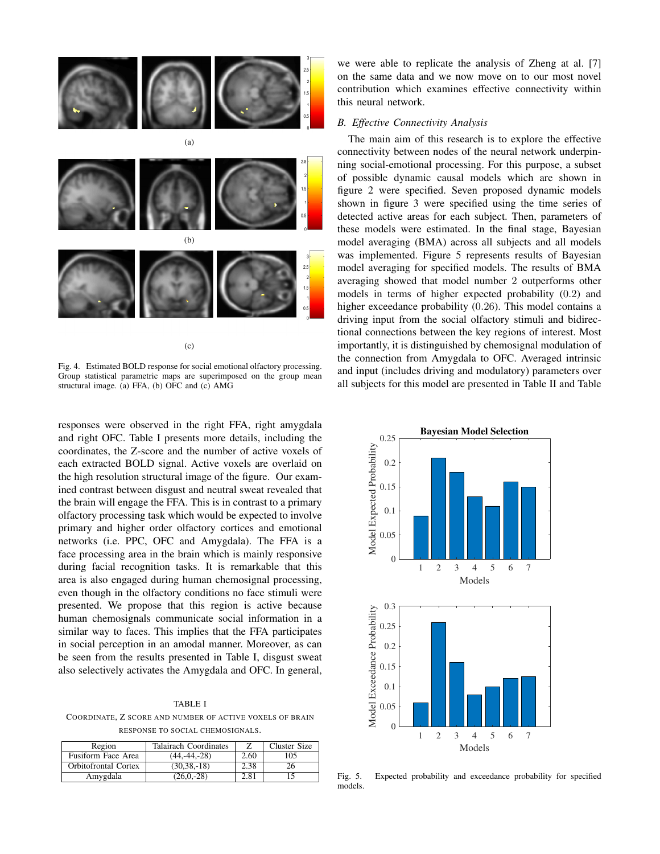

(c)

Fig. 4. Estimated BOLD response for social emotional olfactory processing. Group statistical parametric maps are superimposed on the group mean structural image. (a) FFA, (b) OFC and (c) AMG

responses were observed in the right FFA, right amygdala and right OFC. Table I presents more details, including the coordinates, the Z-score and the number of active voxels of each extracted BOLD signal. Active voxels are overlaid on the high resolution structural image of the figure. Our examined contrast between disgust and neutral sweat revealed that the brain will engage the FFA. This is in contrast to a primary olfactory processing task which would be expected to involve primary and higher order olfactory cortices and emotional networks (i.e. PPC, OFC and Amygdala). The FFA is a face processing area in the brain which is mainly responsive during facial recognition tasks. It is remarkable that this area is also engaged during human chemosignal processing, even though in the olfactory conditions no face stimuli were presented. We propose that this region is active because human chemosignals communicate social information in a similar way to faces. This implies that the FFA participates in social perception in an amodal manner. Moreover, as can be seen from the results presented in Table I, disgust sweat also selectively activates the Amygdala and OFC. In general,

#### TABLE I

COORDINATE, Z SCORE AND NUMBER OF ACTIVE VOXELS OF BRAIN RESPONSE TO SOCIAL CHEMOSIGNALS.

| Region                      | Talairach Coordinates |      | Cluster Size |
|-----------------------------|-----------------------|------|--------------|
| Fusiform Face Area          | $(44, -44, -28)$      | 2.60 | 105          |
| <b>Orbitofrontal Cortex</b> | $(30, 38, -18)$       | 2.38 |              |
| Amygdala                    | $(26.0 - 28)$         | 2.81 |              |

we were able to replicate the analysis of Zheng at al. [7] on the same data and we now move on to our most novel contribution which examines effective connectivity within this neural network.

## *B. Effective Connectivity Analysis*

The main aim of this research is to explore the effective connectivity between nodes of the neural network underpinning social-emotional processing. For this purpose, a subset of possible dynamic causal models which are shown in figure 2 were specified. Seven proposed dynamic models shown in figure 3 were specified using the time series of detected active areas for each subject. Then, parameters of these models were estimated. In the final stage, Bayesian model averaging (BMA) across all subjects and all models was implemented. Figure 5 represents results of Bayesian model averaging for specified models. The results of BMA averaging showed that model number 2 outperforms other models in terms of higher expected probability (0.2) and higher exceedance probability (0.26). This model contains a driving input from the social olfactory stimuli and bidirectional connections between the key regions of interest. Most importantly, it is distinguished by chemosignal modulation of the connection from Amygdala to OFC. Averaged intrinsic and input (includes driving and modulatory) parameters over all subjects for this model are presented in Table II and Table



Fig. 5. Expected probability and exceedance probability for specified models.